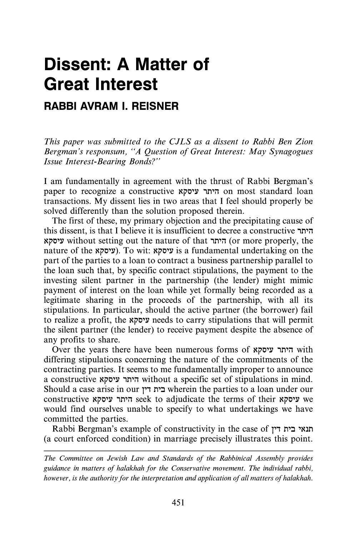## **Dissent: A Matter of Great Interest**

## **RABBI AVRAM I. REISNER**

*This paper was submitted to the CJLS as a dissent to Rabbi Ben Zion Bergman's responsum, "A Question of Great Interest: May Synagogues Issue Interest-Bearing Bonds?"* 

I am fundamentally in agreement with the thrust of Rabbi Bergman's paper to recognize a constructive היתר עיסקא on most standard loan transactions. My dissent lies in two areas that I feel should properly be solved differently than the solution proposed therein.

The first of these, my primary objection and the precipitating cause of this dissent, is that I believe it is insufficient to decree a constructive  $n\pi$ Nj'O'l.' without setting out the nature of that ,n'il (or more properly, the nature of the (עיסקא). To wit: ועיסקא $i$ s a fundamental undertaking on the part of the parties to a loan to contract a business partnership parallel to the loan such that, by specific contract stipulations, the payment to the investing silent partner in the partnership (the lender) might mimic payment of interest on the loan while yet formally being recorded as a legitimate sharing in the proceeds of the partnership, with all its stipulations. In particular, should the active partner (the borrower) fail to realize a profit, the *עיסק*א needs to carry stipulations that will permit the silent partner (the lender) to receive payment despite the absence of any profits to share.

Over the years there have been numerous forms of היתר עיסקא differing stipulations concerning the nature of the commitments of the contracting parties. It seems to me fundamentally improper to announce a constructive היתר עיסקא without a specific set of stipulations in mind. Should a case arise in our *1'1* n':J wherein the parties to a loan under our constructive Nj'O'l.' ,n'il seek to adjudicate the terms of their Nj'O'l.' we would find ourselves unable to specify to what undertakings we have committed the parties.

Rabbi Bergman's example of constructivity in the case of *1<sup>7</sup>* חנאי בית דין (a court enforced condition) in marriage precisely illustrates this point.

*The Committee on Jewish Law and Standards of the Rabbinical Assembly provides guidance in matters of halakhah for the Conservative movement. The individual rabbi, however, is the authority for the interpretation and application of all matters of halakhah.*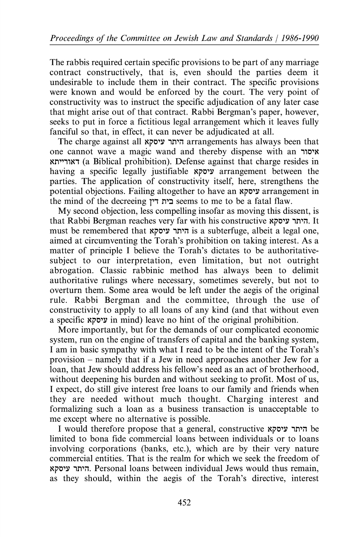The rabbis required certain specific provisions to be part of any marriage contract constructively, that is, even should the parties deem it undesirable to include them in their contract. The specific provisions were known and would be enforced by the court. The very point of constructivity was to instruct the specific adjudication of any later case that might arise out of that contract. Rabbi Bergman's paper, however, seeks to put in force a fictitious legal arrangement which it leaves fully fanciful so that, in effect, it can never be adjudicated at all.

The charge against all היתר עיסקא arrangements has always been that one cannot wave a magic wand and thereby dispense with an 110'N Nn"11N1 (a Biblical prohibition). Defense against that charge resides in having a specific legally justifiable Nj:'O'Y arrangement between the parties. The application of constructivity itself, here, strengthens the potential objections. Failing altogether to have an Nj:'O'Y arrangement in the mind of the decreeing *1'1* n':J seems to me to be a fatal flaw.

My second objection, less compelling insofar as moving this dissent, is that Rabbi Bergman reaches very far with his constructive היתר עיסקא. It must be remembered that היתר עיסקא is a subterfuge, albeit a legal one, aimed at circumventing the Torah's prohibition on taking interest. As a matter of principle I believe the Torah's dictates to be authoritativesubject to our interpretation, even limitation, but not outright abrogation. Classic rabbinic method has always been to delimit authoritative rulings where necessary, sometimes severely, but not to overturn them. Some area would be left under the aegis of the original rule. Rabbi Bergman and the committee, through the use of constructivity to apply to all loans of any kind (and that without even a specific Nj:'O'Y in mind) leave no hint of the original prohibition.

More importantly, but for the demands of our complicated economic system, run on the engine of transfers of capital and the banking system, I am in basic sympathy with what I read to be the intent of the Torah's provision- namely that if a Jew in need approaches another Jew for a loan, that Jew should address his fellow's need as an act of brotherhood, without deepening his burden and without seeking to profit. Most of us, I expect, do still give interest free loans to our family and friends when they are needed without much thought. Charging interest and formalizing such a loan as a business transaction is unacceptable to me except where no alternative is possible.

I would therefore propose that a general, constructive Nj:'O'Y 1n'i1 be limited to bona fide commercial loans between individuals or to loans involving corporations (banks, etc.), which are by their very nature commercial entities. That is the realm for which we seek the freedom of Nj:'O'Y 1n'i1. Personal loans between individual Jews would thus remain, as they should, within the aegis of the Torah's directive, interest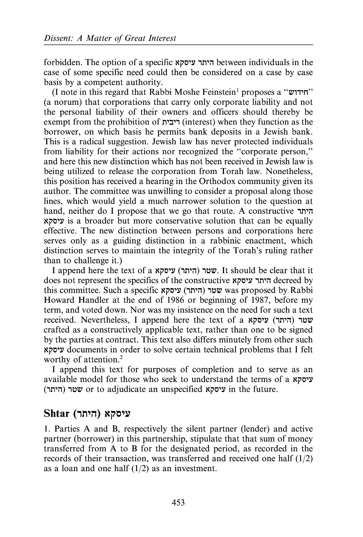forbidden. The option of a specific היתר עיסקא between individuals in the case of some specific need could then be considered on a case by case basis by a competent authority.

(I note in this regard that Rabbi Moshe Feinstein 1 proposes a "W11'n" (a norum) that corporations that carry only corporate liability and not the personal liability of their owners and officers should thereby be exempt from the prohibition of ריבית) when they function as the borrower, on which basis he permits bank deposits in a Jewish bank. This is a radical suggestion. Jewish law has never protected individuals from liability for their actions nor recognized the "corporate person," and here this new distinction which has not been received in Jewish law is being utilized to release the corporation from Torah law. Nonetheless, this position has received a hearing in the Orthodox community given its author. The committee was unwilling to consider a proposal along those lines, which would yield a much narrower solution to the question at hand, neither do I propose that we go that route. A constructive היתר ~i'O'l' is a broader but more conservative solution that can be equally effective. The new distinction between persons and corporations here serves only as a guiding distinction in a rabbinic enactment, which distinction serves to maintain the integrity of the Torah's ruling rather than to challenge it.)

I append here the text of a ~i'O'l' (,n'il) ,~11). It should be clear that it does not represent the specifics of the constructive היתר עיסקא this committee. Such a specific שטר (היתר) שמי was proposed by Rabbi Howard Handler at the end of 1986 or beginning of 1987, before my term, and voted down. Nor was my insistence on the need for such a text received. Nevertheless, I append here the text of a wיסקא crafted as a constructively applicable text, rather than one to be signed by the parties at contract. This text also differs minutely from other such ~i'O'l' documents in order to solve certain technical problems that I felt worthy of attention.<sup>2</sup>

I append this text for purposes of completion and to serve as an available model for those who seek to understand the terms of a  $x$ (היתר) v or to adjudicate an unspecified  $x$ יסקא in the future.

## **Shtar** (היתר) **Shtar**

1. Parties A and B, respectively the silent partner (lender) and active partner (borrower) in this partnership, stipulate that that sum of money transferred from A to B for the designated period, as recorded in the records of their transaction, was transferred and received one half (1/2) as a loan and one half  $(1/2)$  as an investment.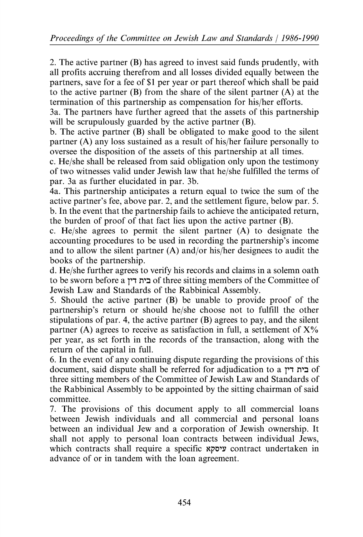2. The active partner (B) has agreed to invest said funds prudently, with all profits accruing therefrom and all losses divided equally between the partners, save for a fee of \$1 per year or part thereof which shall be paid to the active partner (B) from the share of the silent partner (A) at the termination of this partnership as compensation for his/her efforts.

3a. The partners have further agreed that the assets of this partnership will be scrupulously guarded by the active partner (B).

b. The active partner (B) shall be obligated to make good to the silent partner (A) any loss sustained as a result of his/her failure personally to oversee the disposition of the assets of this partnership at all times.

c. He/she shall be released from said obligation only upon the testimony of two witnesses valid under Jewish law that he/she fulfilled the terms of par. 3a as further elucidated in par. 3b.

4a. This partnership anticipates a return equal to twice the sum of the active partner's fee, above par. 2, and the settlement figure, below par. 5. b. In the event that the partnership fails to achieve the anticipated return, the burden of proof of that fact lies upon the active partner  $(B)$ .

c. He/she agrees to permit the silent partner (A) to designate the accounting procedures to be used in recording the partnership's income and to allow the silent partner (A) and/or his/her designees to audit the books of the partnership.

d. He/she further agrees to verify his records and claims in a solemn oath to be sworn before a *1'1* n':J of three sitting members of the Committee of Jewish Law and Standards of the Rabbinical Assembly.

5. Should the active partner (B) be unable to provide proof of the partnership's return or should he/she choose not to fulfill the other stipulations of par. 4, the active partner (B) agrees to pay, and the silent partner (A) agrees to receive as satisfaction in full, a settlement of  $X\%$ per year, as set forth in the records of the transaction, along with the return of the capital in full.

6. In the event of any continuing dispute regarding the provisions of this document, said dispute shall be referred for adjudication to a *1'1* n':J of three sitting members of the Committee of Jewish Law and Standards of the Rabbinical Assembly to be appointed by the sitting chairman of said committee.

7. The provisions of this document apply to all commercial loans between Jewish individuals and all commercial and personal loans between an individual Jew and a corporation of Jewish ownership. It shall not apply to personal loan contracts between individual Jews, which contracts shall require a specific  $x \in C$  contract undertaken in advance of or in tandem with the loan agreement.